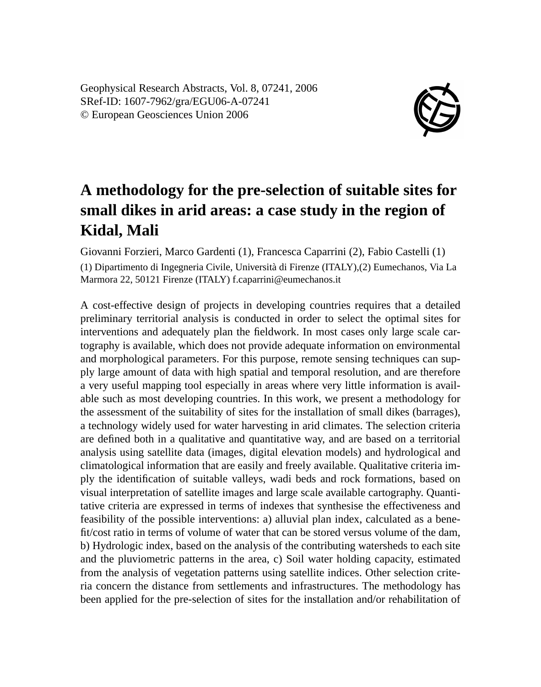Geophysical Research Abstracts, Vol. 8, 07241, 2006 SRef-ID: 1607-7962/gra/EGU06-A-07241 © European Geosciences Union 2006



## **A methodology for the pre-selection of suitable sites for small dikes in arid areas: a case study in the region of Kidal, Mali**

Giovanni Forzieri, Marco Gardenti (1), Francesca Caparrini (2), Fabio Castelli (1) (1) Dipartimento di Ingegneria Civile, Università di Firenze (ITALY),(2) Eumechanos, Via La Marmora 22, 50121 Firenze (ITALY) f.caparrini@eumechanos.it

A cost-effective design of projects in developing countries requires that a detailed preliminary territorial analysis is conducted in order to select the optimal sites for interventions and adequately plan the fieldwork. In most cases only large scale cartography is available, which does not provide adequate information on environmental and morphological parameters. For this purpose, remote sensing techniques can supply large amount of data with high spatial and temporal resolution, and are therefore a very useful mapping tool especially in areas where very little information is available such as most developing countries. In this work, we present a methodology for the assessment of the suitability of sites for the installation of small dikes (barrages), a technology widely used for water harvesting in arid climates. The selection criteria are defined both in a qualitative and quantitative way, and are based on a territorial analysis using satellite data (images, digital elevation models) and hydrological and climatological information that are easily and freely available. Qualitative criteria imply the identification of suitable valleys, wadi beds and rock formations, based on visual interpretation of satellite images and large scale available cartography. Quantitative criteria are expressed in terms of indexes that synthesise the effectiveness and feasibility of the possible interventions: a) alluvial plan index, calculated as a benefit/cost ratio in terms of volume of water that can be stored versus volume of the dam, b) Hydrologic index, based on the analysis of the contributing watersheds to each site and the pluviometric patterns in the area, c) Soil water holding capacity, estimated from the analysis of vegetation patterns using satellite indices. Other selection criteria concern the distance from settlements and infrastructures. The methodology has been applied for the pre-selection of sites for the installation and/or rehabilitation of